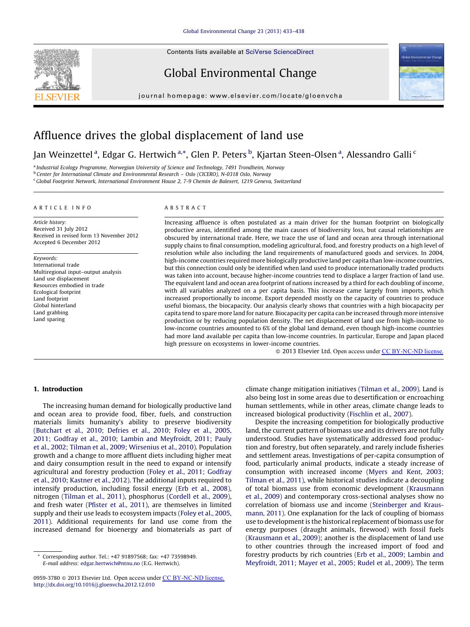Contents lists available at SciVerse [ScienceDirect](http://www.sciencedirect.com/science/journal/09593780)



Global Environmental Change



journal homepage: www.elsevier.com/locate/gloenvcha

# Affluence drives the global displacement of land use

Jan Weinzettel <sup>a</sup>, Edgar G. Hertwich <sup>a,</sup>\*, Glen P. Peters <sup>b</sup>, Kjartan Steen-Olsen <sup>a</sup>, Alessandro Galli <sup>c</sup>

<sup>a</sup> Industrial Ecology Programme, Norwegian University of Science and Technology, 7491 Trondheim, Norway <sup>b</sup> Center for International Climate and Environmental Research – Oslo (CICERO), N-0318 Oslo, Norway <sup>c</sup>Global Footprint Network, International Environment House 2, 7-9 Chemin de Balexert, 1219 Geneva, Switzerland

A R T I C L E I N F O

Article history: Received 31 July 2012 Received in revised form 13 November 2012 Accepted 6 December 2012

Keywords: International trade Multiregional input–output analysis Land use displacement Resources embodied in trade Ecological footprint Land footprint Global hinterland Land grabbing Land sparing

# A B S T R A C T

Increasing affluence is often postulated as a main driver for the human footprint on biologically productive areas, identified among the main causes of biodiversity loss, but causal relationships are obscured by international trade. Here, we trace the use of land and ocean area through international supply chains to final consumption, modeling agricultural, food, and forestry products on a high level of resolution while also including the land requirements of manufactured goods and services. In 2004, high-income countries required more biologically productive land per capita than low-income countries, but this connection could only be identified when land used to produce internationally traded products was taken into account, because higher-income countries tend to displace a larger fraction of land use. The equivalent land and ocean area footprint of nations increased by a third for each doubling of income, with all variables analyzed on a per capita basis. This increase came largely from imports, which increased proportionally to income. Export depended mostly on the capacity of countries to produce useful biomass, the biocapacity. Our analysis clearly shows that countries with a high biocapacity per capita tend to spare more land for nature. Biocapacity per capita can be increased through more intensive production or by reducing population density. The net displacement of land use from high-income to low-income countries amounted to 6% of the global land demand, even though high-income countries had more land available per capita than low-income countries. In particular, Europe and Japan placed high pressure on ecosystems in lower-income countries.

 $\circ$  2013 Elsevier Ltd. Open access under [CC BY-NC-ND](http://creativecommons.org/licenses/by-nc-nd/3.0/) license.

# 1. Introduction

The increasing human demand for biologically productive land and ocean area to provide food, fiber, fuels, and construction materials limits humanity's ability to preserve biodiversity ([Butchart](#page-5-0) et al., 2010; Defries et al., 2010; Foley et al., 2005, 2011; Godfray et al., 2010; Lambin and [Meyfroidt,](#page-5-0) 2011; Pauly et al., 2002; Tilman et al., 2009; [Wirsenius](#page-5-0) et al., 2010). Population growth and a change to more affluent diets including higher meat and dairy consumption result in the need to expand or intensify agricultural and forestry production (Foley et al., 2011; [Godfray](#page-5-0) et al., 2010; [Kastner](#page-5-0) et al., 2012). The additional inputs required to intensify production, including fossil energy (Erb et al., [2008\)](#page-5-0), nitrogen [\(Tilman](#page-5-0) et al., 2011), phosphorus [\(Cordell](#page-5-0) et al., 2009), and fresh water ([Pfister](#page-5-0) et al., 2011), are themselves in limited supply and their use leads to ecosystem impacts (Foley et al., [2005,](#page-5-0) [2011\)](#page-5-0). Additional requirements for land use come from the increased demand for bioenergy and biomaterials as part of climate change mitigation initiatives [\(Tilman](#page-5-0) et al., 2009). Land is also being lost in some areas due to desertification or encroaching human settlements, while in other areas, climate change leads to increased biological productivity [\(Fischlin](#page-5-0) et al., 2007).

Despite the increasing competition for biologically productive land, the current pattern of biomass use and its drivers are not fully understood. Studies have systematically addressed food production and forestry, but often separately, and rarely include fisheries and settlement areas. Investigations of per-capita consumption of food, particularly animal products, indicate a steady increase of consumption with increased income [\(Myers](#page-5-0) and Kent, 2003; [Tilman](#page-5-0) et al., 2011), while historical studies indicate a decoupling of total biomass use from economic development ([Krausmann](#page-5-0) et al., [2009\)](#page-5-0) and contemporary cross-sectional analyses show no correlation of biomass use and income [\(Steinberger](#page-5-0) and Kraus[mann,](#page-5-0) 2011). One explanation for the lack of coupling of biomass use to developmentis the historical replacement of biomass use for energy purposes (draught animals, firewood) with fossil fuels ([Krausmann](#page-5-0) et al., 2009); another is the displacement of land use to other countries through the increased import of food and forestry products by rich countries (Erb et al., 2009; [Lambin](#page-5-0) and [Meyfroidt,](#page-5-0) 2011; Mayer et al., 2005; Rudel et al., 2009). The term

Corresponding author. Tel.: +47 91897568; fax: +47 73598949. E-mail address: [edgar.hertwich@ntnu.no](mailto:edgar.hertwich@ntnu.no) (E.G. Hertwich).

<sup>0959-3780 © 2013</sup> Elsevier Ltd. Open access under [CC BY-NC-ND](http://creativecommons.org/licenses/by-nc-nd/3.0/) license. <http://dx.doi.org/10.1016/j.gloenvcha.2012.12.010>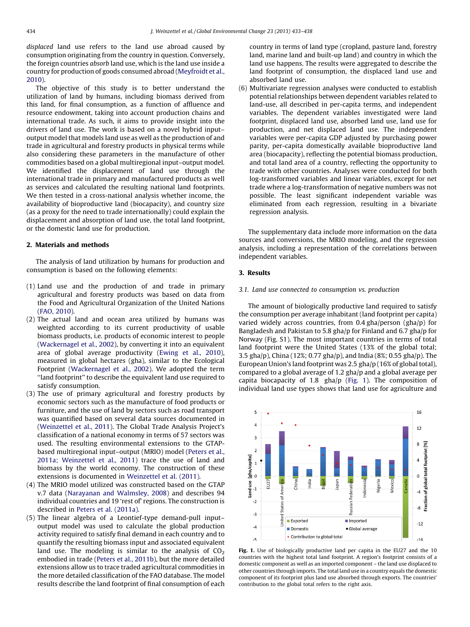displaced land use refers to the land use abroad caused by consumption originating from the country in question. Conversely, the foreign countries absorb land use, which is the land use inside a country for production of goods consumed abroad ([Meyfroidt](#page-5-0) et al., [2010\)](#page-5-0).

The objective of this study is to better understand the utilization of land by humans, including biomass derived from this land, for final consumption, as a function of affluence and resource endowment, taking into account production chains and international trade. As such, it aims to provide insight into the drivers of land use. The work is based on a novel hybrid input– output model that models land use as well as the production of and trade in agricultural and forestry products in physical terms while also considering these parameters in the manufacture of other commodities based on a global multiregional input–output model. We identified the displacement of land use through the international trade in primary and manufactured products as well as services and calculated the resulting national land footprints. We then tested in a cross-national analysis whether income, the availability of bioproductive land (biocapacity), and country size (as a proxy for the need to trade internationally) could explain the displacement and absorption of land use, the total land footprint, or the domestic land use for production.

#### 2. Materials and methods

The analysis of land utilization by humans for production and consumption is based on the following elements:

- (1) Land use and the production of and trade in primary agricultural and forestry products was based on data from the Food and Agricultural Organization of the United Nations (FAO, [2010\)](#page-5-0).
- (2) The actual land and ocean area utilized by humans was weighted according to its current productivity of usable biomass products, i.e. products of economic interest to people ([Wackernagel](#page-5-0) et al., 2002), by converting it into an equivalent area of global average productivity [\(Ewing](#page-5-0) et al., 2010), measured in global hectares (gha), similar to the Ecological Footprint [\(Wackernagel](#page-5-0) et al., 2002). We adopted the term ''land footprint'' to describe the equivalent land use required to satisfy consumption.
- (3) The use of primary agricultural and forestry products by economic sectors such as the manufacture of food products or furniture, and the use of land by sectors such as road transport was quantified based on several data sources documented in ([Weinzettel](#page-5-0) et al., 2011). The Global Trade Analysis Project's classification of a national economy in terms of 57 sectors was used. The resulting environmental extensions to the GTAPbased multiregional input–output (MRIO) model ([Peters](#page-5-0) et al., 2011a; [Weinzettel](#page-5-0) et al., 2011) trace the use of land and biomass by the world economy. The construction of these extensions is documented in [Weinzettel](#page-5-0) et al. (2011).
- (4) The MRIO model utilized was constructed based on the GTAP v.7 data ([Narayanan](#page-5-0) and Walmsley, 2008) and describes 94 individual countries and 19 'rest of' regions. The construction is described in Peters et al. [\(2011a\).](#page-5-0)
- (5) The linear algebra of a Leontief-type demand-pull input– output model was used to calculate the global production activity required to satisfy final demand in each country and to quantify the resulting biomass input and associated equivalent land use. The modeling is similar to the analysis of  $CO<sub>2</sub>$ embodied in trade (Peters et al., [2011b\)](#page-5-0), but the more detailed extensions allow us to trace traded agricultural commodities in the more detailed classification of the FAO database. The model results describe the land footprint of final consumption of each

country in terms of land type (cropland, pasture land, forestry land, marine land and built-up land) and country in which the land use happens. The results were aggregated to describe the land footprint of consumption, the displaced land use and absorbed land use.

(6) Multivariate regression analyses were conducted to establish potential relationships between dependent variables related to land-use, all described in per-capita terms, and independent variables. The dependent variables investigated were land footprint, displaced land use, absorbed land use, land use for production, and net displaced land use. The independent variables were per-capita GDP adjusted by purchasing power parity, per-capita domestically available bioproductive land area (biocapacity), reflecting the potential biomass production, and total land area of a country, reflecting the opportunity to trade with other countries. Analyses were conducted for both log-transformed variables and linear variables, except for net trade where a log-transformation of negative numbers was not possible. The least significant independent variable was eliminated from each regression, resulting in a bivariate regression analysis.

The supplementary data include more information on the data sources and conversions, the MRIO modeling, and the regression analysis, including a representation of the correlations between independent variables.

#### 3. Results

#### 3.1. Land use connected to consumption vs. production

The amount of biologically productive land required to satisfy the consumption per average inhabitant (land footprint per capita) varied widely across countries, from 0.4 gha/person (gha/p) for Bangladesh and Pakistan to 5.8 gha/p for Finland and 6.7 gha/p for Norway (Fig. S1). The most important countries in terms of total land footprint were the United States (13% of the global total; 3.5 gha/p), China (12%; 0.77 gha/p), and India (8%; 0.55 gha/p). The European Union's land footprint was 2.5 gha/p (16% of global total), compared to a global average of 1.2 gha/p and a global average per capita biocapacity of 1.8 gha/p (Fig. 1). The composition of individual land use types shows that land use for agriculture and



Fig. 1. Use of biologically productive land per capita in the EU27 and the 10 countries with the highest total land footprint. A region's footprint consists of a domestic component as well as an imported component – the land use displaced to other countries through imports. The total land use in a country equals the domestic component of its footprint plus land use absorbed through exports. The countries' contribution to the global total refers to the right axis.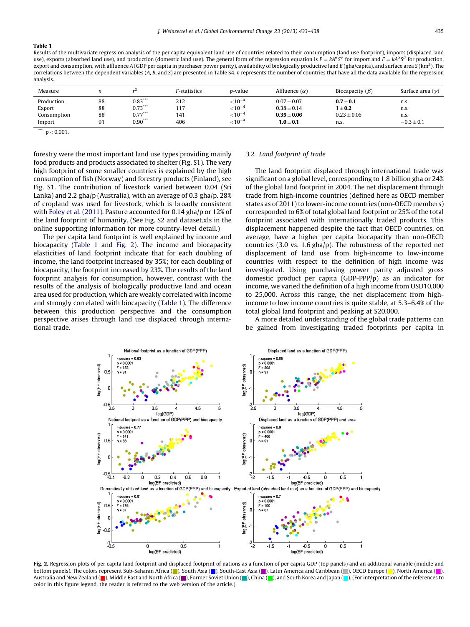#### <span id="page-2-0"></span>Table 1

Results of the multivariate regression analysis of the per capita equivalent land use of countries related to their consumption (land use footprint), imports (displaced land use), exports (absorbed land use), and production (domestic land use). The general form of the regression equation is  $F = kA^{\alpha}S^{\beta}$  for import and  $F = kA^{\alpha}S^{\beta}$  for production. export and consumption, with affluence A (GDP per capita in purchaser power parity), availability of biologically productive land B (gha/capita), and surface area S (km<sup>2</sup>). The correlations between the dependent variables (A, B, and S) are presented in Table S4. n represents the number of countries that have all the data available for the regression analysis.

| Measure              |          |                         | F-statistics | <i>p</i> -value              | Affluence $(\alpha)$               | Biocapacity $(\beta)$        | Surface area $(y)$ |
|----------------------|----------|-------------------------|--------------|------------------------------|------------------------------------|------------------------------|--------------------|
| Production<br>Export | 88<br>88 | 0.83<br>$0.73$ $\cdots$ | 212<br>117   | ${<}10^{-4}$<br>${<}10^{-4}$ | $0.07 \pm 0.07$<br>$0.38 \pm 0.14$ | $0.7 \pm 0.1$<br>$1 \pm 0.2$ | n.s.<br>n.s.       |
| Consumption          | 88       | $0.77$ $\cdots$         | 141          | ${<}10^{-4}$                 | $0.35 \pm 0.06$                    | $0.23 \pm 0.06$              | n.s.               |
| Import               | 91       | $0.90$ $\cdots$         | 406          | ${<}10^{-4}$                 | $\mathbf{1.0}\pm\mathbf{0.1}$      | n.s.                         | $-0.3 \pm 0.1$     |

 $p < 0.001$ .

forestry were the most important land use types providing mainly food products and products associated to shelter (Fig. S1). The very high footprint of some smaller countries is explained by the high consumption of fish (Norway) and forestry products (Finland), see Fig. S1. The contribution of livestock varied between 0.04 (Sri Lanka) and 2.2 gha/p (Australia), with an average of 0.3 gha/p. 28% of cropland was used for livestock, which is broadly consistent with Foley et al. [\(2011\).](#page-5-0) Pasture accounted for 0.14 gha/p or 12% of the land footprint of humanity. (See Fig. S2 and dataset.xls in the online supporting information for more country-level detail.)

The per capita land footprint is well explained by income and biocapacity (Table 1 and Fig. 2). The income and biocapacity elasticities of land footprint indicate that for each doubling of income, the land footprint increased by 35%; for each doubling of biocapacity, the footprint increased by 23%. The results of the land footprint analysis for consumption, however, contrast with the results of the analysis of biologically productive land and ocean area used for production, which are weakly correlated with income and strongly correlated with biocapacity (Table 1). The difference between this production perspective and the consumption perspective arises through land use displaced through international trade.

#### 3.2. Land footprint of trade

The land footprint displaced through international trade was significant on a global level, corresponding to 1.8 billion gha or 24% of the global land footprint in 2004. The net displacement through trade from high-income countries (defined here as OECD member states as of 2011) to lower-income countries (non-OECD members) corresponded to 6% of total global land footprint or 25% of the total footprint associated with internationally traded products. This displacement happened despite the fact that OECD countries, on average, have a higher per capita biocapacity than non-OECD countries (3.0 vs. 1.6 gha/p). The robustness of the reported net displacement of land use from high-income to low-income countries with respect to the definition of high income was investigated. Using purchasing power parity adjusted gross domestic product per capita (GDP-PPP/p) as an indicator for income, we varied the definition of a high income from USD10,000 to 25,000. Across this range, the net displacement from highincome to low income countries is quite stable, at 5.3–6.4% of the total global land footprint and peaking at \$20,000.

A more detailed understanding of the global trade patterns can be gained from investigating traded footprints per capita in



Fig. 2. Regression plots of per capita land footprint and displaced footprint of nations as a function of per capita GDP (top panels) and an additional variable (middle and bottom panels). The colors represent Sub-Saharan Africa ( ), South Asia ( ), South-East Asia ( ), Latin America and Caribbean ( ), OECD Europe ( ), North America ( ), Australia and New Zealand (**a)**, Middle East and North Africa (**a)**, Former Soviet Union (**b)**, China (**b)**, and South Korea and Japan (**b)**. (For interpretation of the references to color in this figure legend, the reader is referred to the web version of the article.)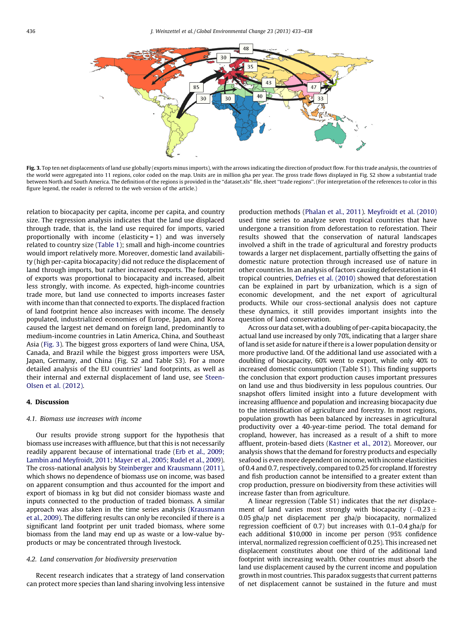

Fig. 3. Top ten net displacements of land use globally (exports minus imports), with the arrows indicating the direction of product flow. For this trade analysis, the countries of the world were aggregated into 11 regions, color coded on the map. Units are in million gha per year. The gross trade flows displayed in Fig. S2 show a substantial trade between North and South America. The definition of the regions is provided in the ''dataset.xls'' file, sheet ''trade regions''. (For interpretation of the references to color in this figure legend, the reader is referred to the web version of the article.)

relation to biocapacity per capita, income per capita, and country size. The regression analysis indicates that the land use displaced through trade, that is, the land use required for imports, varied proportionally with income (elasticity = 1) and was inversely related to country size [\(Table](#page-2-0) 1); small and high-income countries would import relatively more. Moreover, domestic land availability (high per-capita biocapacity) did not reduce the displacement of land through imports, but rather increased exports. The footprint of exports was proportional to biocapacity and increased, albeit less strongly, with income. As expected, high-income countries trade more, but land use connected to imports increases faster with income than that connected to exports. The displaced fraction of land footprint hence also increases with income. The densely populated, industrialized economies of Europe, Japan, and Korea caused the largest net demand on foreign land, predominantly to medium-income countries in Latin America, China, and Southeast Asia (Fig. 3). The biggest gross exporters of land were China, USA, Canada, and Brazil while the biggest gross importers were USA, Japan, Germany, and China (Fig. S2 and Table S3). For a more detailed analysis of the EU countries' land footprints, as well as their internal and external displacement of land use, see [Steen-](#page-5-0)Olsen et al. [\(2012\).](#page-5-0)

#### 4. Discussion

#### 4.1. Biomass use increases with income

Our results provide strong support for the hypothesis that biomass use increases with affluence, but that this is not necessarily readily apparent because of international trade (Erb et al., [2009;](#page-5-0) Lambin and [Meyfroidt,](#page-5-0) 2011; Mayer et al., 2005; Rudel et al., 2009). The cross-national analysis by [Steinberger](#page-5-0) and Krausmann (2011), which shows no dependence of biomass use on income, was based on apparent consumption and thus accounted for the import and export of biomass in kg but did not consider biomass waste and inputs connected to the production of traded biomass. A similar approach was also taken in the time series analysis ([Krausmann](#page-5-0) et al., [2009](#page-5-0)). The differing results can only be reconciled if there is a significant land footprint per unit traded biomass, where some biomass from the land may end up as waste or a low-value byproducts or may be concentrated through livestock.

# 4.2. Land conservation for biodiversity preservation

Recent research indicates that a strategy of land conservation can protect more species than land sharing involving less intensive production methods ([Phalan](#page-5-0) et al., 2011). [Meyfroidt](#page-5-0) et al. (2010) used time series to analyze seven tropical countries that have undergone a transition from deforestation to reforestation. Their results showed that the conservation of natural landscapes involved a shift in the trade of agricultural and forestry products towards a larger net displacement, partially offsetting the gains of domestic nature protection through increased use of nature in other countries. In an analysis of factors causing deforestation in 41 tropical countries, [Defries](#page-5-0) et al. (2010) showed that deforestation can be explained in part by urbanization, which is a sign of economic development, and the net export of agricultural products. While our cross-sectional analysis does not capture these dynamics, it still provides important insights into the question of land conservation.

Across our data set, with a doubling of per-capita biocapacity, the actual land use increased by only 70%, indicating that a larger share of land is set aside for nature if there is a lower population density or more productive land. Of the additional land use associated with a doubling of biocapacity, 60% went to export, while only 40% to increased domestic consumption (Table S1). This finding supports the conclusion that export production causes important pressures on land use and thus biodiversity in less populous countries. Our snapshot offers limited insight into a future development with increasing affluence and population and increasing biocapacity due to the intensification of agriculture and forestry. In most regions, population growth has been balanced by increases in agricultural productivity over a 40-year-time period. The total demand for cropland, however, has increased as a result of a shift to more affluent, protein-based diets ([Kastner](#page-5-0) et al., 2012). Moreover, our analysis shows that the demand for forestry products and especially seafood is even more dependent on income, with income elasticities of 0.4 and 0.7, respectively, compared to 0.25 for cropland. Ifforestry and fish production cannot be intensified to a greater extent than crop production, pressure on biodiversity from these activities will increase faster than from agriculture.

A linear regression (Table S1) indicates that the net displacement of land varies most strongly with biocapacity ( $-0.23 \pm$ 0.05 gha/p net displacement per gha/p biocapacity, normalized regression coefficient of 0.7) but increases with 0.1–0.4 gha/p for each additional \$10,000 in income per person (95% confidence interval, normalized regression coefficient of 0.25). This increased net displacement constitutes about one third of the additional land footprint with increasing wealth. Other countries must absorb the land use displacement caused by the current income and population growth in most countries. This paradox suggests that current patterns of net displacement cannot be sustained in the future and must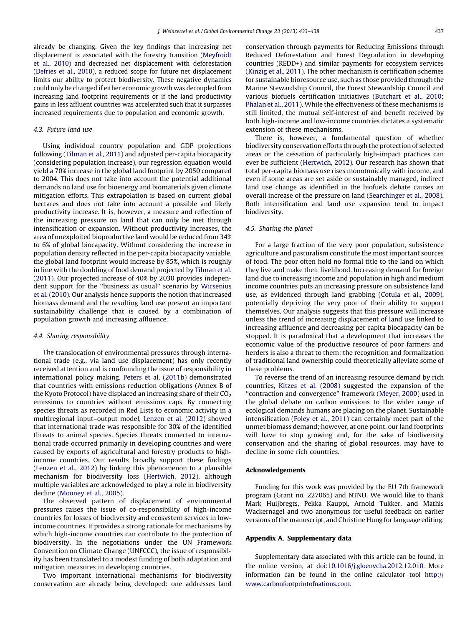already be changing. Given the key findings that increasing net displacement is associated with the forestry transition [\(Meyfroidt](#page-5-0) et al., [2010](#page-5-0)) and decreased net displacement with deforestation ([Defries](#page-5-0) et al., 2010), a reduced scope for future net displacement limits our ability to protect biodiversity. These negative dynamics could only be changed if either economic growth was decoupled from increasing land footprint requirements or if the land productivity gains in less affluent countries was accelerated such that it surpasses increased requirements due to population and economic growth.

# 4.3. Future land use

Using individual country population and GDP projections following ([Tilman](#page-5-0) et al., 2011) and adjusted per-capita biocapacity (considering population increase), our regression equation would yield a 70% increase in the global land footprint by 2050 compared to 2004. This does not take into account the potential additional demands on land use for bioenergy and biomaterials given climate mitigation efforts. This extrapolation is based on current global hectares and does not take into account a possible and likely productivity increase. It is, however, a measure and reflection of the increasing pressure on land that can only be met through intensification or expansion. Without productivity increases, the area of unexploited bioproductive land would be reduced from 34% to 6% of global biocapacity. Without considering the increase in population density reflected in the per-capita biocapacity variable, the global land footprint would increase by 85%, which is roughly in line with the doubling of food demand projected by [Tilman](#page-5-0) et al. [\(2011\).](#page-5-0) Our projected increase of 40% by 2030 provides independent support for the ''business as usual'' scenario by [Wirsenius](#page-5-0) et al. [\(2010\)](#page-5-0). Our analysis hence supports the notion that increased biomass demand and the resulting land use present an important sustainability challenge that is caused by a combination of population growth and increasing affluence.

#### 4.4. Sharing responsibility

The translocation of environmental pressures through international trade (e.g., via land use displacement) has only recently received attention and is confounding the issue of responsibility in international policy making. Peters et al. [\(2011b\)](#page-5-0) demonstrated that countries with emissions reduction obligations (Annex B of the Kyoto Protocol) have displaced an increasing share of their  $CO<sub>2</sub>$ emissions to countries without emissions caps. By connecting species threats as recorded in Red Lists to economic activity in a multiregional input–output model, [Lenzen](#page-5-0) et al. (2012) showed that international trade was responsible for 30% of the identified threats to animal species. Species threats connected to international trade occurred primarily in developing countries and were caused by exports of agricultural and forestry products to highincome countries. Our results broadly support these findings ([Lenzen](#page-5-0) et al., 2012) by linking this phenomenon to a plausible mechanism for biodiversity loss [\(Hertwich,](#page-5-0) 2012), although multiple variables are acknowledged to play a role in biodiversity decline ([Mooney](#page-5-0) et al., 2005).

The observed pattern of displacement of environmental pressures raises the issue of co-responsibility of high-income countries for losses of biodiversity and ecosystem services in lowincome countries. It provides a strong rationale for mechanisms by which high-income countries can contribute to the protection of biodiversity. In the negotiations under the UN Framework Convention on Climate Change (UNFCCC), the issue of responsibility has been translated to a modest funding of both adaptation and mitigation measures in developing countries.

Two important international mechanisms for biodiversity conservation are already being developed: one addresses land conservation through payments for Reducing Emissions through Reduced Deforestation and Forest Degradation in developing countries (REDD+) and similar payments for ecosystem services ([Kinzig](#page-5-0) et al., 2011). The other mechanism is certification schemes for sustainable bioresource use, such as those provided through the Marine Stewardship Council, the Forest Stewardship Council and various biofuels certification initiatives ([Butchart](#page-5-0) et al., 2010; [Phalan](#page-5-0) et al., 2011). While the effectiveness of these mechanisms is still limited, the mutual self-interest of and benefit received by both high-income and low-income countries dictates a systematic extension of these mechanisms.

There is, however, a fundamental question of whether biodiversity conservation efforts through the protection of selected areas or the cessation of particularly high-impact practices can ever be sufficient ([Hertwich,](#page-5-0) 2012). Our research has shown that total per-capita biomass use rises monotonically with income, and even if some areas are set aside or sustainably managed, indirect land use change as identified in the biofuels debate causes an overall increase of the pressure on land [\(Searchinger](#page-5-0) et al., 2008). Both intensification and land use expansion tend to impact biodiversity.

# 4.5. Sharing the planet

For a large fraction of the very poor population, subsistence agriculture and pasturalism constitute the most important sources of food. The poor often hold no formal title to the land on which they live and make their livelihood. Increasing demand for foreign land due to increasing income and population in high and medium income countries puts an increasing pressure on subsistence land use, as evidenced through land grabbing [\(Cotula](#page-5-0) et al., 2009), potentially depriving the very poor of their ability to support themselves. Our analysis suggests that this pressure will increase unless the trend of increasing displacement of land use linked to increasing affluence and decreasing per capita biocapacity can be stopped. It is paradoxical that a development that increases the economic value of the productive resource of poor farmers and herders is also a threat to them; the recognition and formalization of traditional land ownership could theoretically alleviate some of these problems.

To reverse the trend of an increasing resource demand by rich countries, Kitzes et al. [\(2008\)](#page-5-0) suggested the expansion of the ''contraction and convergence'' framework ([Meyer,](#page-5-0) 2000) used in the global debate on carbon emissions to the wider range of ecological demands humans are placing on the planet. Sustainable intensification ([Foley](#page-5-0) et al., 2011) can certainly meet part of the unmet biomass demand; however, at one point, our land footprints will have to stop growing and, for the sake of biodiversity conservation and the sharing of global resources, may have to decline in some rich countries.

# Acknowledgements

Funding for this work was provided by the EU 7th framework program (Grant no. 227065) and NTNU. We would like to thank Mark Huijbregts, Pekka Kauppi, Arnold Tukker, and Mathis Wackernagel and two anonymous for useful feedback on earlier versions of the manuscript, and Christine Hung for language editing.

#### Appendix A. Supplementary data

Supplementary data associated with this article can be found, in the online version, at [doi:10.1016/j.gloenvcha.2012.12.010.](http://dx.doi.org/10.1016/j.gloenvcha.2012.12.010) More information can be found in the online calculator tool [http://](http://www.carbonfootprintofnations.com/) [www.carbonfootprintofnations.com](http://www.carbonfootprintofnations.com/).